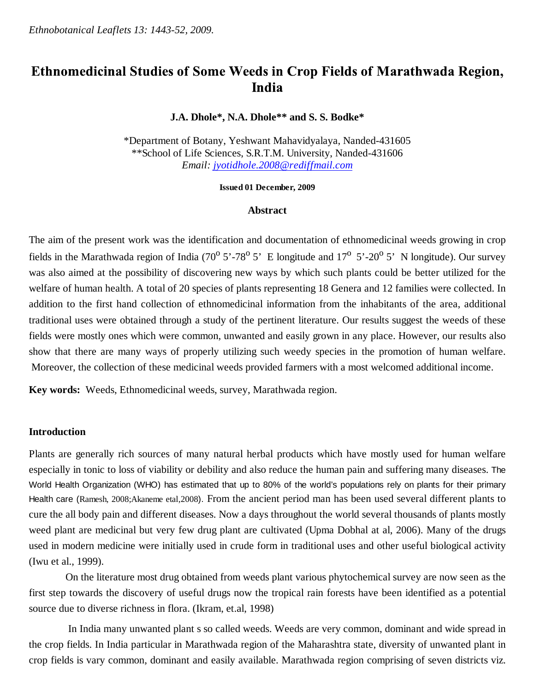# Ethnomedicinal Studies of Some Weeds in Crop Fields of Marathwada Region, India

## **J.A. Dhole\*, N.A. Dhole\*\* and S. S. Bodke\***

\*Department of Botany, Yeshwant Mahavidyalaya, Nanded-431605 \*\*School of Life Sciences, S.R.T.M. University, Nanded-431606 *Email: jyotidhole.2008@rediffmail.com*

**Issued 01 December, 2009**

#### **Abstract**

The aim of the present work was the identification and documentation of ethnomedicinal weeds growing in crop fields in the Marathwada region of India (70 $^{\circ}$  5'-78 $^{\circ}$  5' E longitude and 17 $^{\circ}$  5'-20 $^{\circ}$  5'. N longitude). Our survey was also aimed at the possibility of discovering new ways by which such plants could be better utilized for the welfare of human health. A total of 20 species of plants representing 18 Genera and 12 families were collected. In addition to the first hand collection of ethnomedicinal information from the inhabitants of the area, additional traditional uses were obtained through a study of the pertinent literature. Our results suggest the weeds of these fields were mostly ones which were common, unwanted and easily grown in any place. However, our results also show that there are many ways of properly utilizing such weedy species in the promotion of human welfare. Moreover, the collection of these medicinal weeds provided farmers with a most welcomed additional income.

**Key words:** Weeds, Ethnomedicinal weeds, survey, Marathwada region.

### **Introduction**

Plants are generally rich sources of many natural herbal products which have mostly used for human welfare especially in tonic to loss of viability or debility and also reduce the human pain and suffering many diseases. The World Health Organization (WHO) has estimated that up to 80% of the world's populations rely on plants for their primary Health care (Ramesh, 2008;Akaneme etal,2008). From the ancient period man has been used several different plants to cure the all body pain and different diseases. Now a days throughout the world several thousands of plants mostly weed plant are medicinal but very few drug plant are cultivated (Upma Dobhal at al, 2006). Many of the drugs used in modern medicine were initially used in crude form in traditional uses and other useful biological activity (Iwu et al., 1999).

 On the literature most drug obtained from weeds plant various phytochemical survey are now seen as the first step towards the discovery of useful drugs now the tropical rain forests have been identified as a potential source due to diverse richness in flora. (Ikram, et.al, 1998)

 In India many unwanted plant s so called weeds. Weeds are very common, dominant and wide spread in the crop fields. In India particular in Marathwada region of the Maharashtra state, diversity of unwanted plant in crop fields is vary common, dominant and easily available. Marathwada region comprising of seven districts viz.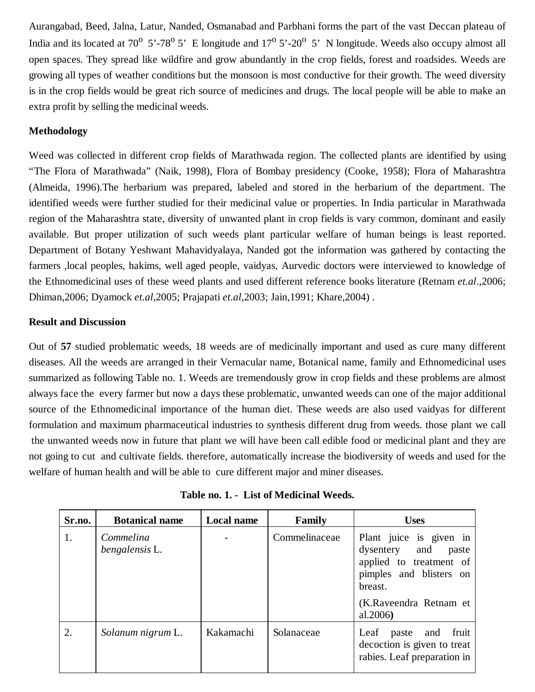Aurangabad, Beed, Jalna, Latur, Nanded, Osmanabad and Parbhani forms the part of the vast Deccan plateau of India and its located at 70<sup>o</sup> 5'-78<sup>o</sup> 5' E longitude and  $17^{\circ}$  5'-20<sup>o</sup> 5' N longitude. Weeds also occupy almost all open spaces. They spread like wildfire and grow abundantly in the crop fields, forest and roadsides. Weeds are growing all types of weather conditions but the monsoon is most conductive for their growth. The weed diversity is in the crop fields would be great rich source of medicines and drugs. The local people will be able to make an extra profit by selling the medicinal weeds.

# **Methodology**

Weed was collected in different crop fields of Marathwada region. The collected plants are identified by using "The Flora of Marathwada" (Naik, 1998), Flora of Bombay presidency (Cooke, 1958); Flora of Maharashtra (Almeida, 1996).The herbarium was prepared, labeled and stored in the herbarium of the department. The identified weeds were further studied for their medicinal value or properties. In India particular in Marathwada region of the Maharashtra state, diversity of unwanted plant in crop fields is vary common, dominant and easily available. But proper utilization of such weeds plant particular welfare of human beings is least reported. Department of Botany Yeshwant Mahavidyalaya, Nanded got the information was gathered by contacting the farmers ,local peoples, hakims, well aged people, vaidyas, Aurvedic doctors were interviewed to knowledge of the Ethnomedicinal uses of these weed plants and used different reference books literature (Retnam *et.al*.,2006; Dhiman,2006; Dyamock *et.al*,2005; Prajapati *et.al*,2003; Jain,1991; Khare,2004) .

# **Result and Discussion**

Out of **57** studied problematic weeds, 18 weeds are of medicinally important and used as cure many different diseases. All the weeds are arranged in their Vernacular name, Botanical name, family and Ethnomedicinal uses summarized as following Table no. 1. Weeds are tremendously grow in crop fields and these problems are almost always face the every farmer but now a days these problematic, unwanted weeds can one of the major additional source of the Ethnomedicinal importance of the human diet. These weeds are also used vaidyas for different formulation and maximum pharmaceutical industries to synthesis different drug from weeds. those plant we call the unwanted weeds now in future that plant we will have been call edible food or medicinal plant and they are not going to cut and cultivate fields. therefore, automatically increase the biodiversity of weeds and used for the welfare of human health and will be able to cure different major and miner diseases.

| Sr.no. | <b>Botanical name</b>       | <b>Local name</b> | Family        | <b>Uses</b>                                                                                                                                              |
|--------|-----------------------------|-------------------|---------------|----------------------------------------------------------------------------------------------------------------------------------------------------------|
| 1.     | Commelina<br>bengalensis L. |                   | Commelinaceae | Plant juice is given in<br>dysentery and<br>paste<br>applied to treatment of<br>pimples and blisters on<br>breast.<br>(K.Raveendra Retnam et<br>al.2006) |
| 2.     | Solanum nigrum L.           | Kakamachi         | Solanaceae    | fruit<br>Leaf paste and<br>decoction is given to treat<br>rabies. Leaf preparation in                                                                    |

|  | Table no. 1. - List of Medicinal Weeds. |  |
|--|-----------------------------------------|--|
|--|-----------------------------------------|--|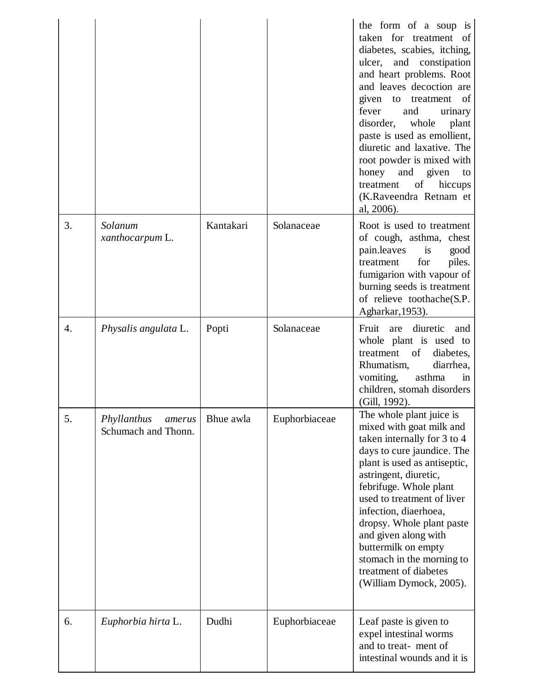|    |                                              |           |               | the form of a soup is<br>taken for treatment<br>of<br>diabetes, scabies, itching,<br>ulcer, and constipation<br>and heart problems. Root<br>and leaves decoction are<br>given to treatment<br>of<br>and<br>fever<br>urinary<br>disorder,<br>whole<br>plant<br>paste is used as emollient,<br>diuretic and laxative. The<br>root powder is mixed with<br>honey<br>and given<br>to<br>of<br>hiccups<br>treatment<br>(K.Raveendra Retnam et<br>al, 2006). |
|----|----------------------------------------------|-----------|---------------|--------------------------------------------------------------------------------------------------------------------------------------------------------------------------------------------------------------------------------------------------------------------------------------------------------------------------------------------------------------------------------------------------------------------------------------------------------|
| 3. | Solanum<br>xanthocarpum L.                   | Kantakari | Solanaceae    | Root is used to treatment<br>of cough, asthma, chest<br>pain.leaves<br>is<br>good<br>for<br>piles.<br>treatment<br>fumigarion with vapour of<br>burning seeds is treatment<br>of relieve toothache(S.P.<br>Agharkar, 1953).                                                                                                                                                                                                                            |
| 4. | Physalis angulata L.                         | Popti     | Solanaceae    | diuretic<br>Fruit<br>are<br>and<br>whole plant is used to<br>treatment<br>of<br>diabetes,<br>Rhumatism,<br>diarrhea,<br>vomiting,<br>asthma<br>in<br>children, stomah disorders<br>(Gill, 1992).                                                                                                                                                                                                                                                       |
| 5. | Phyllanthus<br>amerus<br>Schumach and Thonn. | Bhue awla | Euphorbiaceae | The whole plant juice is<br>mixed with goat milk and<br>taken internally for 3 to 4<br>days to cure jaundice. The<br>plant is used as antiseptic,<br>astringent, diuretic,<br>febrifuge. Whole plant<br>used to treatment of liver<br>infection, diaerhoea,<br>dropsy. Whole plant paste<br>and given along with<br>buttermilk on empty<br>stomach in the morning to<br>treatment of diabetes<br>(William Dymock, 2005).                               |
| 6. | Euphorbia hirta L.                           | Dudhi     | Euphorbiaceae | Leaf paste is given to<br>expel intestinal worms<br>and to treat-ment of<br>intestinal wounds and it is                                                                                                                                                                                                                                                                                                                                                |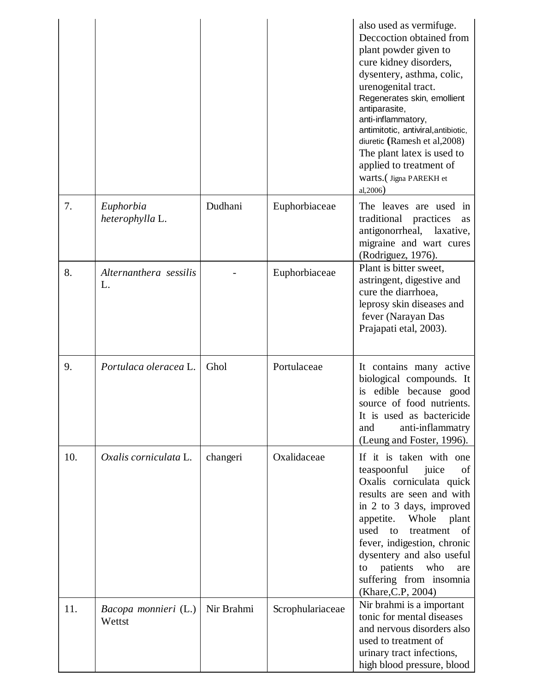|     |                                |            |                  | also used as vermifuge.<br>Deccoction obtained from<br>plant powder given to<br>cure kidney disorders,<br>dysentery, asthma, colic,<br>urenogenital tract.<br>Regenerates skin, emollient<br>antiparasite,<br>anti-inflammatory,<br>antimitotic, antiviral, antibiotic,<br>diuretic (Ramesh et al, 2008)<br>The plant latex is used to<br>applied to treatment of<br>Warts.(Jigna PAREKH et<br>al, 2006) |
|-----|--------------------------------|------------|------------------|----------------------------------------------------------------------------------------------------------------------------------------------------------------------------------------------------------------------------------------------------------------------------------------------------------------------------------------------------------------------------------------------------------|
| 7.  | Euphorbia<br>heterophylla L.   | Dudhani    | Euphorbiaceae    | The leaves are used in<br>traditional<br>practices<br>as<br>antigonorrheal,<br>laxative,<br>migraine and wart cures<br>(Rodriguez, 1976).                                                                                                                                                                                                                                                                |
| 8.  | Alternanthera sessilis<br>L.   |            | Euphorbiaceae    | Plant is bitter sweet,<br>astringent, digestive and<br>cure the diarrhoea,<br>leprosy skin diseases and<br>fever (Narayan Das<br>Prajapati etal, 2003).                                                                                                                                                                                                                                                  |
| 9.  | Portulaca oleracea L.          | Ghol       | Portulaceae      | It contains many active<br>biological compounds. It<br>edible because good<br>is<br>source of food nutrients.<br>It is used as bactericide<br>anti-inflammatry<br>and<br>(Leung and Foster, 1996).                                                                                                                                                                                                       |
| 10. | Oxalis corniculata L.          | changeri   | Oxalidaceae      | If it is taken with one<br>teaspoonful<br>juice<br>of<br>Oxalis corniculata quick<br>results are seen and with<br>in 2 to 3 days, improved<br>appetite. Whole<br>plant<br>used<br>to<br>treatment<br>of<br>fever, indigestion, chronic<br>dysentery and also useful<br>patients<br>who<br>to<br>are<br>suffering from insomnia<br>(Khare, C.P., 2004)                                                    |
| 11. | Bacopa monnieri (L.)<br>Wettst | Nir Brahmi | Scrophulariaceae | Nir brahmi is a important<br>tonic for mental diseases<br>and nervous disorders also<br>used to treatment of<br>urinary tract infections,<br>high blood pressure, blood                                                                                                                                                                                                                                  |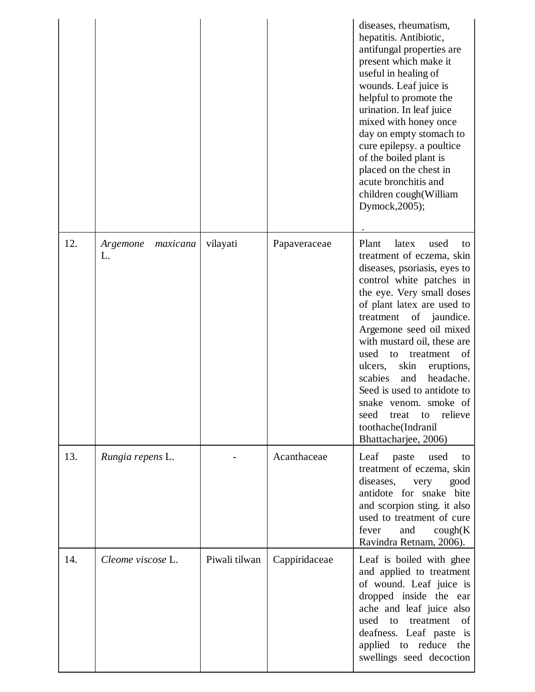|     |                            |               |               | diseases, rheumatism,<br>hepatitis. Antibiotic,<br>antifungal properties are<br>present which make it<br>useful in healing of<br>wounds. Leaf juice is<br>helpful to promote the<br>urination. In leaf juice<br>mixed with honey once<br>day on empty stomach to<br>cure epilepsy. a poultice<br>of the boiled plant is<br>placed on the chest in<br>acute bronchitis and<br>children cough(William<br>Dymock, 2005);                                                                                            |
|-----|----------------------------|---------------|---------------|------------------------------------------------------------------------------------------------------------------------------------------------------------------------------------------------------------------------------------------------------------------------------------------------------------------------------------------------------------------------------------------------------------------------------------------------------------------------------------------------------------------|
| 12. | maxicana<br>Argemone<br>L. | vilayati      | Papaveraceae  | Plant<br>latex<br>used<br>to<br>treatment of eczema, skin<br>diseases, psoriasis, eyes to<br>control white patches in<br>the eye. Very small doses<br>of plant latex are used to<br>treatment<br>of jaundice.<br>Argemone seed oil mixed<br>with mustard oil, these are<br>used<br>of<br>to<br>treatment<br>ulcers,<br>skin<br>eruptions,<br>headache.<br>scabies<br>and<br>Seed is used to antidote to<br>snake venom, smoke of<br>relieve<br>seed<br>treat<br>to<br>toothache(Indranil<br>Bhattacharjee, 2006) |
| 13. | Rungia repens L.           |               | Acanthaceae   | Leaf<br>paste used<br>to<br>treatment of eczema, skin<br>diseases,<br>very<br>good<br>antidote for snake bite<br>and scorpion sting. it also<br>used to treatment of cure<br>fever<br>and<br>cough(K)<br>Ravindra Retnam, 2006).                                                                                                                                                                                                                                                                                 |
| 14. | Cleome viscose L.          | Piwali tilwan | Cappiridaceae | Leaf is boiled with ghee<br>and applied to treatment<br>of wound. Leaf juice is<br>dropped inside the ear<br>ache and leaf juice also<br>used<br>to<br>treatment<br>of<br>deafness. Leaf paste is<br>applied to reduce the<br>swellings seed decoction                                                                                                                                                                                                                                                           |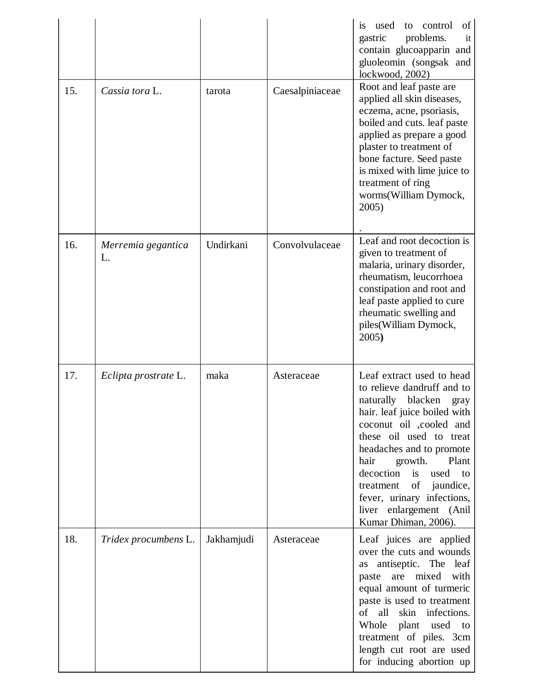|     |                          |            |                 | is<br>used<br>control<br>of<br>to<br>problems.<br>gastric<br>it<br>contain glucoapparin and<br>gluoleomin (songsak and<br>lockwood, 2002)<br>Root and leaf paste are                                                                                                                                                                                                                                                                                                               |
|-----|--------------------------|------------|-----------------|------------------------------------------------------------------------------------------------------------------------------------------------------------------------------------------------------------------------------------------------------------------------------------------------------------------------------------------------------------------------------------------------------------------------------------------------------------------------------------|
| 15. | Cassia tora L.           | tarota     | Caesalpiniaceae | applied all skin diseases,<br>eczema, acne, psoriasis,<br>boiled and cuts. leaf paste<br>applied as prepare a good<br>plaster to treatment of<br>bone facture. Seed paste<br>is mixed with lime juice to<br>treatment of ring<br>worms(William Dymock,<br>2005)                                                                                                                                                                                                                    |
| 16. | Merremia gegantica<br>L. | Undirkani  | Convolvulaceae  | Leaf and root decoction is<br>given to treatment of<br>malaria, urinary disorder,<br>rheumatism, leucorrhoea<br>constipation and root and<br>leaf paste applied to cure<br>rheumatic swelling and<br>piles(William Dymock,<br>2005)                                                                                                                                                                                                                                                |
| 17. | Eclipta prostrate L.     | maka       | Asteraceae      | Leaf extract used to head<br>to relieve dandruff and to<br>naturally blacken<br>gray<br>hair. leaf juice boiled with<br>coconut oil , cooled and<br>these oil used to treat<br>headaches and to promote<br>growth.<br>hair<br>Plant<br>decoction is<br>used<br>to<br>$% \left( \left( \mathcal{A},\mathcal{A}\right) \right) =\left( \mathcal{A},\mathcal{A}\right)$ of<br>jaundice,<br>treatment<br>fever, urinary infections,<br>liver enlargement (Anil<br>Kumar Dhiman, 2006). |
| 18. | Tridex procumbens L.     | Jakhamjudi | Asteraceae      | Leaf juices are applied<br>over the cuts and wounds<br>antiseptic. The leaf<br>as<br>are mixed<br>with<br>paste<br>equal amount of turmeric<br>paste is used to treatment<br>of<br>all<br>infections.<br>skin<br>Whole plant used to<br>treatment of piles. 3cm<br>length cut root are used<br>for inducing abortion up                                                                                                                                                            |